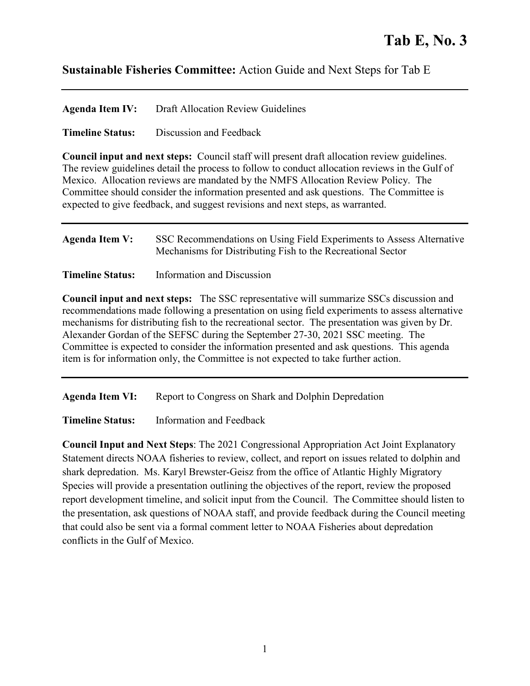## **Sustainable Fisheries Committee:** Action Guide and Next Steps for Tab E

| <b>Agenda Item IV:</b> | Draft Allocation Review Guidelines |
|------------------------|------------------------------------|
|------------------------|------------------------------------|

**Timeline Status:** Discussion and Feedback

**Council input and next steps:** Council staff will present draft allocation review guidelines. The review guidelines detail the process to follow to conduct allocation reviews in the Gulf of Mexico. Allocation reviews are mandated by the NMFS Allocation Review Policy. The Committee should consider the information presented and ask questions. The Committee is expected to give feedback, and suggest revisions and next steps, as warranted.

| <b>Agenda Item V:</b> | SSC Recommendations on Using Field Experiments to Assess Alternative |
|-----------------------|----------------------------------------------------------------------|
|                       | Mechanisms for Distributing Fish to the Recreational Sector          |
|                       |                                                                      |

**Timeline Status:** Information and Discussion

**Council input and next steps:** The SSC representative will summarize SSCs discussion and recommendations made following a presentation on using field experiments to assess alternative mechanisms for distributing fish to the recreational sector. The presentation was given by Dr. Alexander Gordan of the SEFSC during the September 27-30, 2021 SSC meeting. The Committee is expected to consider the information presented and ask questions. This agenda item is for information only, the Committee is not expected to take further action.

Agenda Item VI: Report to Congress on Shark and Dolphin Depredation

**Timeline Status:** Information and Feedback

**Council Input and Next Steps**: The 2021 Congressional Appropriation Act Joint Explanatory Statement directs NOAA fisheries to review, collect, and report on issues related to dolphin and shark depredation. Ms. Karyl Brewster-Geisz from the office of Atlantic Highly Migratory Species will provide a presentation outlining the objectives of the report, review the proposed report development timeline, and solicit input from the Council. The Committee should listen to the presentation, ask questions of NOAA staff, and provide feedback during the Council meeting that could also be sent via a formal comment letter to NOAA Fisheries about depredation conflicts in the Gulf of Mexico.